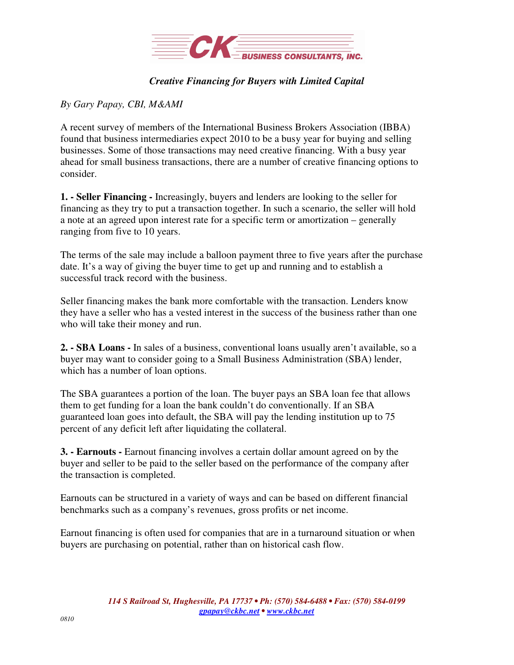

## *Creative Financing for Buyers with Limited Capital*

## *By Gary Papay, CBI, M&AMI*

A recent survey of members of the International Business Brokers Association (IBBA) found that business intermediaries expect 2010 to be a busy year for buying and selling businesses. Some of those transactions may need creative financing. With a busy year ahead for small business transactions, there are a number of creative financing options to consider.

**1. - Seller Financing -** Increasingly, buyers and lenders are looking to the seller for financing as they try to put a transaction together. In such a scenario, the seller will hold a note at an agreed upon interest rate for a specific term or amortization – generally ranging from five to 10 years.

The terms of the sale may include a balloon payment three to five years after the purchase date. It's a way of giving the buyer time to get up and running and to establish a successful track record with the business.

Seller financing makes the bank more comfortable with the transaction. Lenders know they have a seller who has a vested interest in the success of the business rather than one who will take their money and run.

**2. - SBA Loans -** In sales of a business, conventional loans usually aren't available, so a buyer may want to consider going to a Small Business Administration (SBA) lender, which has a number of loan options.

The SBA guarantees a portion of the loan. The buyer pays an SBA loan fee that allows them to get funding for a loan the bank couldn't do conventionally. If an SBA guaranteed loan goes into default, the SBA will pay the lending institution up to 75 percent of any deficit left after liquidating the collateral.

**3. - Earnouts -** Earnout financing involves a certain dollar amount agreed on by the buyer and seller to be paid to the seller based on the performance of the company after the transaction is completed.

Earnouts can be structured in a variety of ways and can be based on different financial benchmarks such as a company's revenues, gross profits or net income.

Earnout financing is often used for companies that are in a turnaround situation or when buyers are purchasing on potential, rather than on historical cash flow.